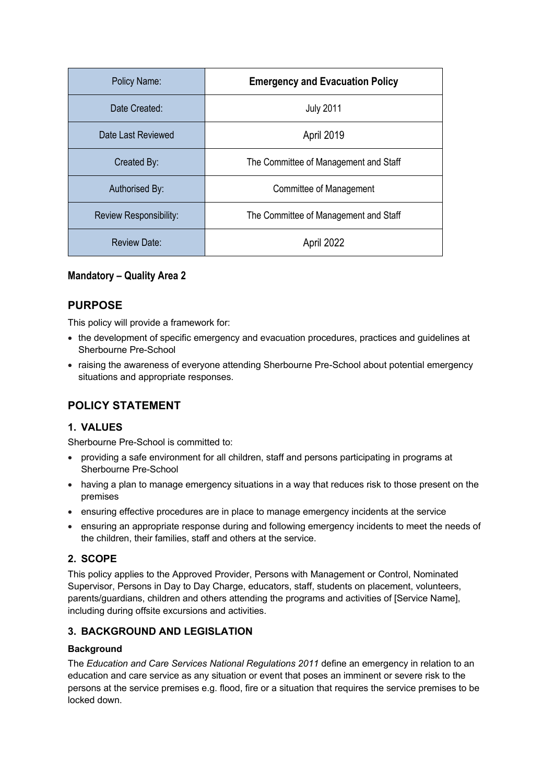| Policy Name:                  | <b>Emergency and Evacuation Policy</b> |
|-------------------------------|----------------------------------------|
| Date Created:                 | <b>July 2011</b>                       |
| Date Last Reviewed            | April 2019                             |
| Created By:                   | The Committee of Management and Staff  |
| Authorised By:                | Committee of Management                |
| <b>Review Responsibility:</b> | The Committee of Management and Staff  |
| Review Date:                  | April 2022                             |

### **Mandatory – Quality Area 2**

### **PURPOSE**

This policy will provide a framework for:

- the development of specific emergency and evacuation procedures, practices and guidelines at Sherbourne Pre-School
- raising the awareness of everyone attending Sherbourne Pre-School about potential emergency situations and appropriate responses.

## **POLICY STATEMENT**

### **1. VALUES**

Sherbourne Pre-School is committed to:

- providing a safe environment for all children, staff and persons participating in programs at Sherbourne Pre-School
- having a plan to manage emergency situations in a way that reduces risk to those present on the premises
- ensuring effective procedures are in place to manage emergency incidents at the service
- ensuring an appropriate response during and following emergency incidents to meet the needs of the children, their families, staff and others at the service.

### **2. SCOPE**

This policy applies to the Approved Provider, Persons with Management or Control, Nominated Supervisor, Persons in Day to Day Charge, educators, staff, students on placement, volunteers, parents/guardians, children and others attending the programs and activities of [Service Name], including during offsite excursions and activities.

### **3. BACKGROUND AND LEGISLATION**

### **Background**

The *Education and Care Services National Regulations 2011* define an emergency in relation to an education and care service as any situation or event that poses an imminent or severe risk to the persons at the service premises e.g. flood, fire or a situation that requires the service premises to be locked down.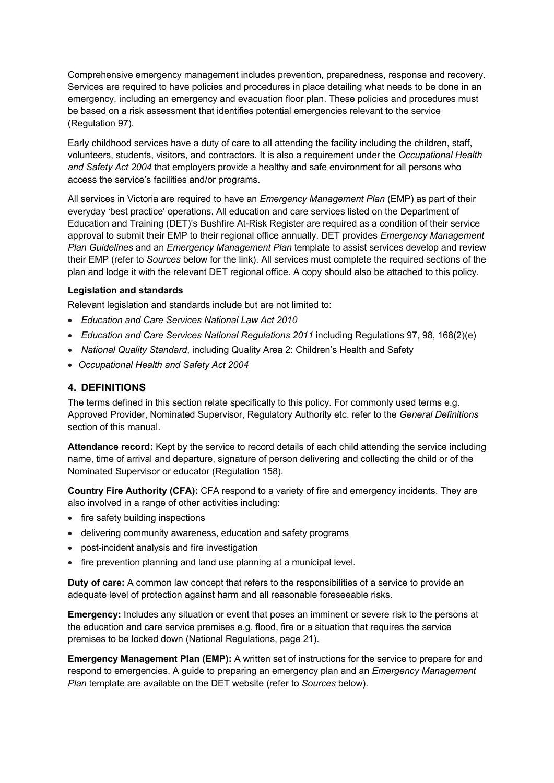Comprehensive emergency management includes prevention, preparedness, response and recovery. Services are required to have policies and procedures in place detailing what needs to be done in an emergency, including an emergency and evacuation floor plan. These policies and procedures must be based on a risk assessment that identifies potential emergencies relevant to the service (Regulation 97).

Early childhood services have a duty of care to all attending the facility including the children, staff, volunteers, students, visitors, and contractors. It is also a requirement under the *Occupational Health and Safety Act 2004* that employers provide a healthy and safe environment for all persons who access the service's facilities and/or programs.

All services in Victoria are required to have an *Emergency Management Plan* (EMP) as part of their everyday 'best practice' operations. All education and care services listed on the Department of Education and Training (DET)'s Bushfire At-Risk Register are required as a condition of their service approval to submit their EMP to their regional office annually. DET provides *Emergency Management Plan Guidelines* and an *Emergency Management Plan* template to assist services develop and review their EMP (refer to *Sources* below for the link). All services must complete the required sections of the plan and lodge it with the relevant DET regional office. A copy should also be attached to this policy.

### **Legislation and standards**

Relevant legislation and standards include but are not limited to:

- *Education and Care Services National Law Act 2010*
- *Education and Care Services National Regulations 2011* including Regulations 97, 98, 168(2)(e)
- *National Quality Standard*, including Quality Area 2: Children's Health and Safety
- *Occupational Health and Safety Act 2004*

### **4. DEFINITIONS**

The terms defined in this section relate specifically to this policy. For commonly used terms e.g. Approved Provider, Nominated Supervisor, Regulatory Authority etc. refer to the *General Definitions* section of this manual.

**Attendance record:** Kept by the service to record details of each child attending the service including name, time of arrival and departure, signature of person delivering and collecting the child or of the Nominated Supervisor or educator (Regulation 158).

**Country Fire Authority (CFA):** CFA respond to a variety of fire and emergency incidents. They are also involved in a range of other activities including:

- fire safety building inspections
- delivering community awareness, education and safety programs
- post-incident analysis and fire investigation
- fire prevention planning and land use planning at a municipal level.

**Duty of care:** A common law concept that refers to the responsibilities of a service to provide an adequate level of protection against harm and all reasonable foreseeable risks.

**Emergency:** Includes any situation or event that poses an imminent or severe risk to the persons at the education and care service premises e.g. flood, fire or a situation that requires the service premises to be locked down (National Regulations, page 21).

**Emergency Management Plan (EMP):** A written set of instructions for the service to prepare for and respond to emergencies. A guide to preparing an emergency plan and an *Emergency Management Plan* template are available on the DET website (refer to *Sources* below).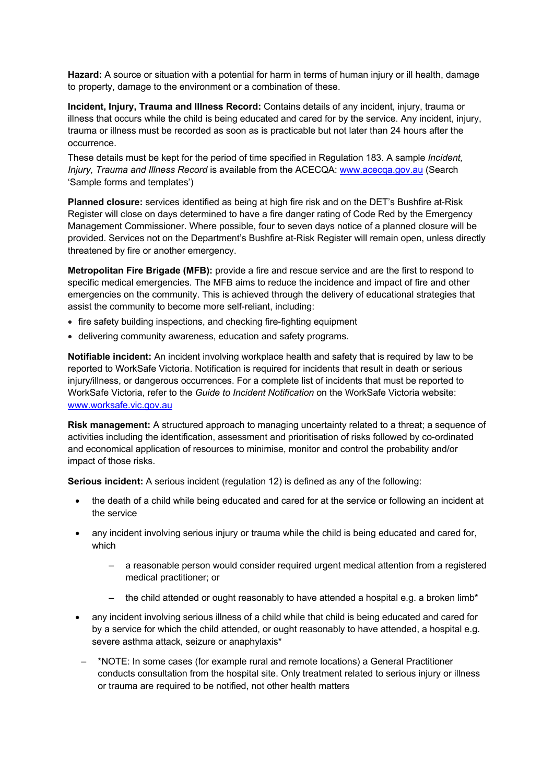**Hazard:** A source or situation with a potential for harm in terms of human injury or ill health, damage to property, damage to the environment or a combination of these.

**Incident, Injury, Trauma and Illness Record:** Contains details of any incident, injury, trauma or illness that occurs while the child is being educated and cared for by the service. Any incident, injury, trauma or illness must be recorded as soon as is practicable but not later than 24 hours after the occurrence.

These details must be kept for the period of time specified in Regulation 183. A sample *Incident, Injury, Trauma and Illness Record* is available from the ACECQA: www.acecqa.gov.au (Search 'Sample forms and templates')

**Planned closure:** services identified as being at high fire risk and on the DET's Bushfire at-Risk Register will close on days determined to have a fire danger rating of Code Red by the Emergency Management Commissioner. Where possible, four to seven days notice of a planned closure will be provided. Services not on the Department's Bushfire at-Risk Register will remain open, unless directly threatened by fire or another emergency.

**Metropolitan Fire Brigade (MFB):** provide a fire and rescue service and are the first to respond to specific medical emergencies. The MFB aims to reduce the incidence and impact of fire and other emergencies on the community. This is achieved through the delivery of educational strategies that assist the community to become more self-reliant, including:

- fire safety building inspections, and checking fire-fighting equipment
- delivering community awareness, education and safety programs.

**Notifiable incident:** An incident involving workplace health and safety that is required by law to be reported to WorkSafe Victoria. Notification is required for incidents that result in death or serious injury/illness, or dangerous occurrences. For a complete list of incidents that must be reported to WorkSafe Victoria, refer to the *Guide to Incident Notification* on the WorkSafe Victoria website: www.worksafe.vic.gov.au

**Risk management:** A structured approach to managing uncertainty related to a threat; a sequence of activities including the identification, assessment and prioritisation of risks followed by co-ordinated and economical application of resources to minimise, monitor and control the probability and/or impact of those risks.

**Serious incident:** A serious incident (regulation 12) is defined as any of the following:

- the death of a child while being educated and cared for at the service or following an incident at the service
- any incident involving serious injury or trauma while the child is being educated and cared for, which
	- a reasonable person would consider required urgent medical attention from a registered medical practitioner; or
	- the child attended or ought reasonably to have attended a hospital e.g. a broken limb\*
- any incident involving serious illness of a child while that child is being educated and cared for by a service for which the child attended, or ought reasonably to have attended, a hospital e.g. severe asthma attack, seizure or anaphylaxis\*
- \*NOTE: In some cases (for example rural and remote locations) a General Practitioner conducts consultation from the hospital site. Only treatment related to serious injury or illness or trauma are required to be notified, not other health matters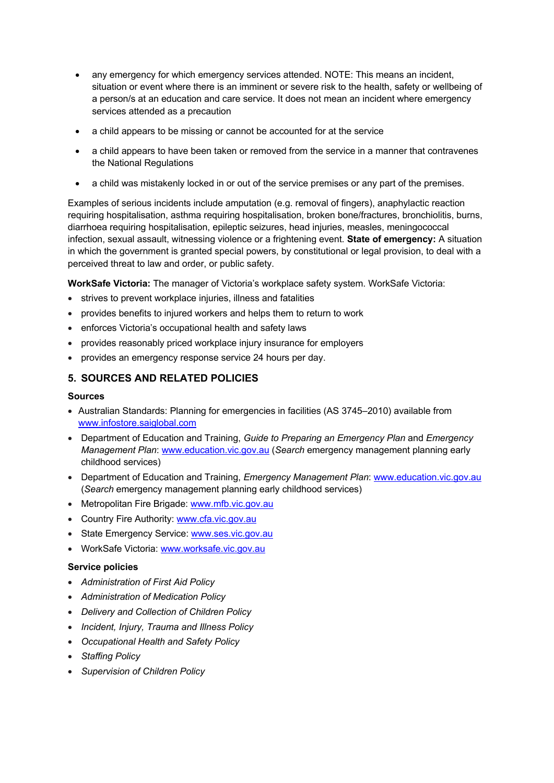- any emergency for which emergency services attended. NOTE: This means an incident, situation or event where there is an imminent or severe risk to the health, safety or wellbeing of a person/s at an education and care service. It does not mean an incident where emergency services attended as a precaution
- a child appears to be missing or cannot be accounted for at the service
- a child appears to have been taken or removed from the service in a manner that contravenes the National Regulations
- a child was mistakenly locked in or out of the service premises or any part of the premises.

Examples of serious incidents include amputation (e.g. removal of fingers), anaphylactic reaction requiring hospitalisation, asthma requiring hospitalisation, broken bone/fractures, bronchiolitis, burns, diarrhoea requiring hospitalisation, epileptic seizures, head injuries, measles, meningococcal infection, sexual assault, witnessing violence or a frightening event. **State of emergency:** A situation in which the government is granted special powers, by constitutional or legal provision, to deal with a perceived threat to law and order, or public safety.

**WorkSafe Victoria:** The manager of Victoria's workplace safety system. WorkSafe Victoria:

- strives to prevent workplace injuries, illness and fatalities
- provides benefits to injured workers and helps them to return to work
- enforces Victoria's occupational health and safety laws
- provides reasonably priced workplace injury insurance for employers
- provides an emergency response service 24 hours per day.

### **5. SOURCES AND RELATED POLICIES**

#### **Sources**

- Australian Standards: Planning for emergencies in facilities (AS 3745–2010) available from www.infostore.saiglobal.com
- Department of Education and Training, *Guide to Preparing an Emergency Plan* and *Emergency Management Plan*: www.education.vic.gov.au (*Search* emergency management planning early childhood services)
- Department of Education and Training, *Emergency Management Plan*: www.education.vic.gov.au (*Search* emergency management planning early childhood services)
- Metropolitan Fire Brigade: www.mfb.vic.gov.au
- Country Fire Authority: www.cfa.vic.gov.au
- State Emergency Service: www.ses.vic.gov.au
- WorkSafe Victoria: www.worksafe.vic.gov.au

#### **Service policies**

- *Administration of First Aid Policy*
- *Administration of Medication Policy*
- *Delivery and Collection of Children Policy*
- *Incident, Injury, Trauma and Illness Policy*
- *Occupational Health and Safety Policy*
- *Staffing Policy*
- *Supervision of Children Policy*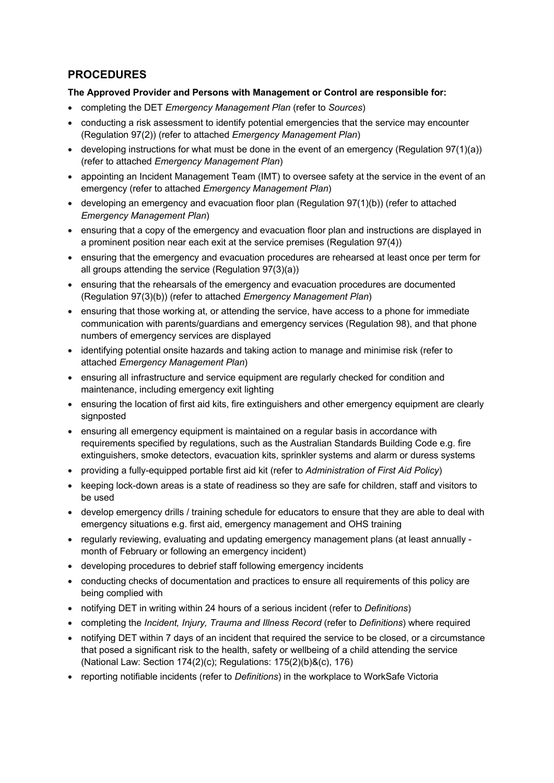## **PROCEDURES**

### **The Approved Provider and Persons with Management or Control are responsible for:**

- completing the DET *Emergency Management Plan* (refer to *Sources*)
- conducting a risk assessment to identify potential emergencies that the service may encounter (Regulation 97(2)) (refer to attached *Emergency Management Plan*)
- developing instructions for what must be done in the event of an emergency (Regulation 97(1)(a)) (refer to attached *Emergency Management Plan*)
- appointing an Incident Management Team (IMT) to oversee safety at the service in the event of an emergency (refer to attached *Emergency Management Plan*)
- developing an emergency and evacuation floor plan (Regulation 97(1)(b)) (refer to attached *Emergency Management Plan*)
- ensuring that a copy of the emergency and evacuation floor plan and instructions are displayed in a prominent position near each exit at the service premises (Regulation 97(4))
- ensuring that the emergency and evacuation procedures are rehearsed at least once per term for all groups attending the service (Regulation 97(3)(a))
- ensuring that the rehearsals of the emergency and evacuation procedures are documented (Regulation 97(3)(b)) (refer to attached *Emergency Management Plan*)
- ensuring that those working at, or attending the service, have access to a phone for immediate communication with parents/guardians and emergency services (Regulation 98), and that phone numbers of emergency services are displayed
- identifying potential onsite hazards and taking action to manage and minimise risk (refer to attached *Emergency Management Plan*)
- ensuring all infrastructure and service equipment are regularly checked for condition and maintenance, including emergency exit lighting
- ensuring the location of first aid kits, fire extinguishers and other emergency equipment are clearly signposted
- ensuring all emergency equipment is maintained on a regular basis in accordance with requirements specified by regulations, such as the Australian Standards Building Code e.g. fire extinguishers, smoke detectors, evacuation kits, sprinkler systems and alarm or duress systems
- providing a fully-equipped portable first aid kit (refer to *Administration of First Aid Policy*)
- keeping lock-down areas is a state of readiness so they are safe for children, staff and visitors to be used
- develop emergency drills / training schedule for educators to ensure that they are able to deal with emergency situations e.g. first aid, emergency management and OHS training
- regularly reviewing, evaluating and updating emergency management plans (at least annually month of February or following an emergency incident)
- developing procedures to debrief staff following emergency incidents
- conducting checks of documentation and practices to ensure all requirements of this policy are being complied with
- notifying DET in writing within 24 hours of a serious incident (refer to *Definitions*)
- completing the *Incident, Injury, Trauma and Illness Record* (refer to *Definitions*) where required
- notifying DET within 7 days of an incident that required the service to be closed, or a circumstance that posed a significant risk to the health, safety or wellbeing of a child attending the service (National Law: Section 174(2)(c); Regulations: 175(2)(b)&(c), 176)
- reporting notifiable incidents (refer to *Definitions*) in the workplace to WorkSafe Victoria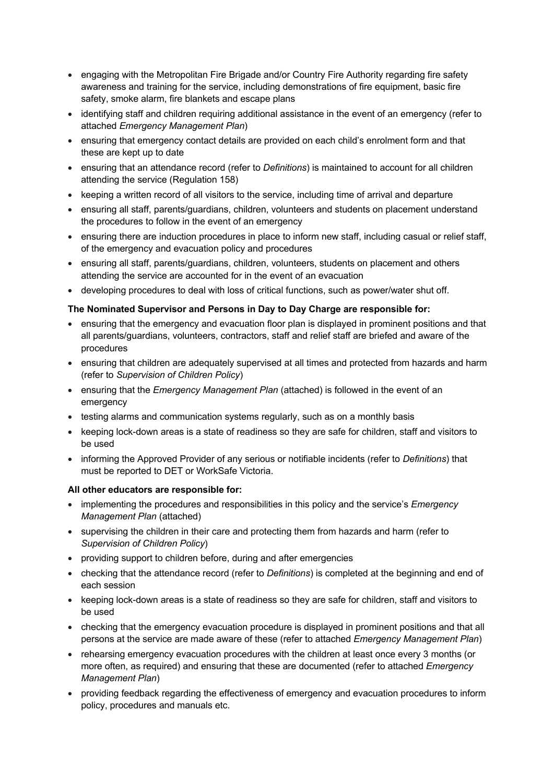- engaging with the Metropolitan Fire Brigade and/or Country Fire Authority regarding fire safety awareness and training for the service, including demonstrations of fire equipment, basic fire safety, smoke alarm, fire blankets and escape plans
- identifying staff and children requiring additional assistance in the event of an emergency (refer to attached *Emergency Management Plan*)
- ensuring that emergency contact details are provided on each child's enrolment form and that these are kept up to date
- ensuring that an attendance record (refer to *Definitions*) is maintained to account for all children attending the service (Regulation 158)
- keeping a written record of all visitors to the service, including time of arrival and departure
- ensuring all staff, parents/guardians, children, volunteers and students on placement understand the procedures to follow in the event of an emergency
- ensuring there are induction procedures in place to inform new staff, including casual or relief staff, of the emergency and evacuation policy and procedures
- ensuring all staff, parents/guardians, children, volunteers, students on placement and others attending the service are accounted for in the event of an evacuation
- developing procedures to deal with loss of critical functions, such as power/water shut off.

### **The Nominated Supervisor and Persons in Day to Day Charge are responsible for:**

- ensuring that the emergency and evacuation floor plan is displayed in prominent positions and that all parents/guardians, volunteers, contractors, staff and relief staff are briefed and aware of the procedures
- ensuring that children are adequately supervised at all times and protected from hazards and harm (refer to *Supervision of Children Policy*)
- ensuring that the *Emergency Management Plan* (attached) is followed in the event of an emergency
- testing alarms and communication systems regularly, such as on a monthly basis
- keeping lock-down areas is a state of readiness so they are safe for children, staff and visitors to be used
- informing the Approved Provider of any serious or notifiable incidents (refer to *Definitions*) that must be reported to DET or WorkSafe Victoria.

#### **All other educators are responsible for:**

- implementing the procedures and responsibilities in this policy and the service's *Emergency Management Plan* (attached)
- supervising the children in their care and protecting them from hazards and harm (refer to *Supervision of Children Policy*)
- providing support to children before, during and after emergencies
- checking that the attendance record (refer to *Definitions*) is completed at the beginning and end of each session
- keeping lock-down areas is a state of readiness so they are safe for children, staff and visitors to be used
- checking that the emergency evacuation procedure is displayed in prominent positions and that all persons at the service are made aware of these (refer to attached *Emergency Management Plan*)
- rehearsing emergency evacuation procedures with the children at least once every 3 months (or more often, as required) and ensuring that these are documented (refer to attached *Emergency Management Plan*)
- providing feedback regarding the effectiveness of emergency and evacuation procedures to inform policy, procedures and manuals etc.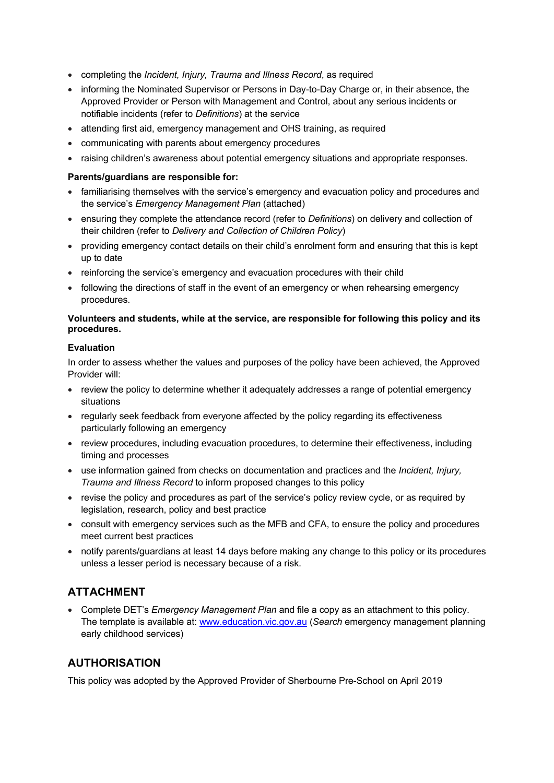- completing the *Incident, Injury, Trauma and Illness Record*, as required
- informing the Nominated Supervisor or Persons in Day-to-Day Charge or, in their absence, the Approved Provider or Person with Management and Control, about any serious incidents or notifiable incidents (refer to *Definitions*) at the service
- attending first aid, emergency management and OHS training, as required
- communicating with parents about emergency procedures
- raising children's awareness about potential emergency situations and appropriate responses.

### **Parents/guardians are responsible for:**

- familiarising themselves with the service's emergency and evacuation policy and procedures and the service's *Emergency Management Plan* (attached)
- ensuring they complete the attendance record (refer to *Definitions*) on delivery and collection of their children (refer to *Delivery and Collection of Children Policy*)
- providing emergency contact details on their child's enrolment form and ensuring that this is kept up to date
- reinforcing the service's emergency and evacuation procedures with their child
- following the directions of staff in the event of an emergency or when rehearsing emergency procedures.

### **Volunteers and students, while at the service, are responsible for following this policy and its procedures.**

### **Evaluation**

In order to assess whether the values and purposes of the policy have been achieved, the Approved Provider will:

- review the policy to determine whether it adequately addresses a range of potential emergency situations
- regularly seek feedback from everyone affected by the policy regarding its effectiveness particularly following an emergency
- review procedures, including evacuation procedures, to determine their effectiveness, including timing and processes
- use information gained from checks on documentation and practices and the *Incident, Injury, Trauma and Illness Record* to inform proposed changes to this policy
- revise the policy and procedures as part of the service's policy review cycle, or as required by legislation, research, policy and best practice
- consult with emergency services such as the MFB and CFA, to ensure the policy and procedures meet current best practices
- notify parents/guardians at least 14 days before making any change to this policy or its procedures unless a lesser period is necessary because of a risk.

## **ATTACHMENT**

• Complete DET's *Emergency Management Plan* and file a copy as an attachment to this policy. The template is available at: www.education.vic.gov.au (*Search* emergency management planning early childhood services)

## **AUTHORISATION**

This policy was adopted by the Approved Provider of Sherbourne Pre-School on April 2019